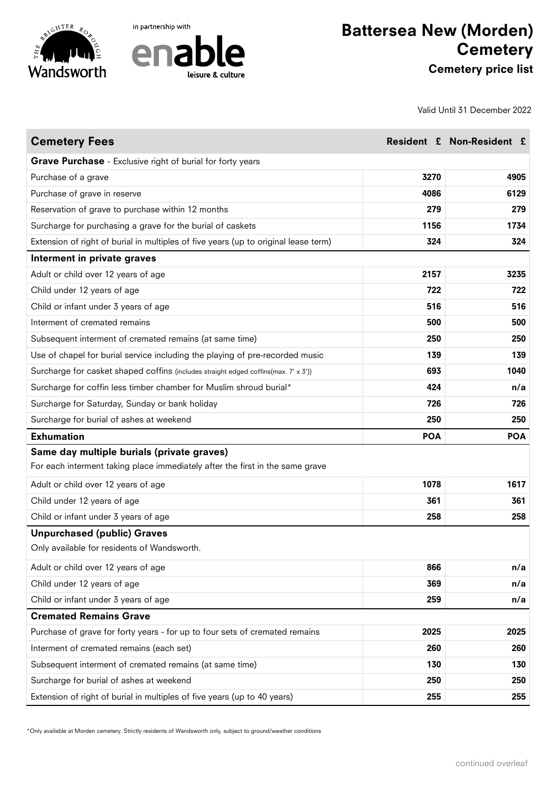





Valid Until 31 December 2022

| <b>Cemetery Fees</b>                                                                |            | Resident £ Non-Resident £ |
|-------------------------------------------------------------------------------------|------------|---------------------------|
| Grave Purchase - Exclusive right of burial for forty years                          |            |                           |
| Purchase of a grave                                                                 | 3270       | 4905                      |
| Purchase of grave in reserve                                                        | 4086       | 6129                      |
| Reservation of grave to purchase within 12 months                                   | 279        | 279                       |
| Surcharge for purchasing a grave for the burial of caskets                          | 1156       | 1734                      |
| Extension of right of burial in multiples of five years (up to original lease term) | 324        | 324                       |
| Interment in private graves                                                         |            |                           |
| Adult or child over 12 years of age                                                 | 2157       | 3235                      |
| Child under 12 years of age                                                         | 722        | 722                       |
| Child or infant under 3 years of age                                                | 516        | 516                       |
| Interment of cremated remains                                                       | 500        | 500                       |
| Subsequent interment of cremated remains (at same time)                             | 250        | 250                       |
| Use of chapel for burial service including the playing of pre-recorded music        | 139        | 139                       |
| Surcharge for casket shaped coffins (includes straight edged coffins(max. 7' x 3')) | 693        | 1040                      |
| Surcharge for coffin less timber chamber for Muslim shroud burial*                  | 424        | n/a                       |
| Surcharge for Saturday, Sunday or bank holiday                                      | 726        | 726                       |
| Surcharge for burial of ashes at weekend                                            | 250        | 250                       |
| <b>Exhumation</b>                                                                   | <b>POA</b> | <b>POA</b>                |
| Same day multiple burials (private graves)                                          |            |                           |
| For each interment taking place immediately after the first in the same grave       |            |                           |
| Adult or child over 12 years of age                                                 | 1078       | 1617                      |
| Child under 12 years of age                                                         | 361        | 361                       |
| Child or infant under 3 years of age                                                | 258        | 258                       |
| <b>Unpurchased (public) Graves</b>                                                  |            |                           |
| Only available for residents of Wandsworth.                                         |            |                           |
| Adult or child over 12 years of age                                                 | 866        | n/a                       |
| Child under 12 years of age                                                         | 369        | n/a                       |
| Child or infant under 3 years of age                                                | 259        | n/a                       |
| <b>Cremated Remains Grave</b>                                                       |            |                           |
| Purchase of grave for forty years - for up to four sets of cremated remains         | 2025       | 2025                      |
| Interment of cremated remains (each set)                                            | 260        | 260                       |
| Subsequent interment of cremated remains (at same time)                             | 130        | 130                       |
| Surcharge for burial of ashes at weekend                                            | 250        | 250                       |
| Extension of right of burial in multiples of five years (up to 40 years)            | 255        | 255                       |

\*Only available at Morden cemetery. Strictly residents of Wandsworth only, subject to ground/weather conditions